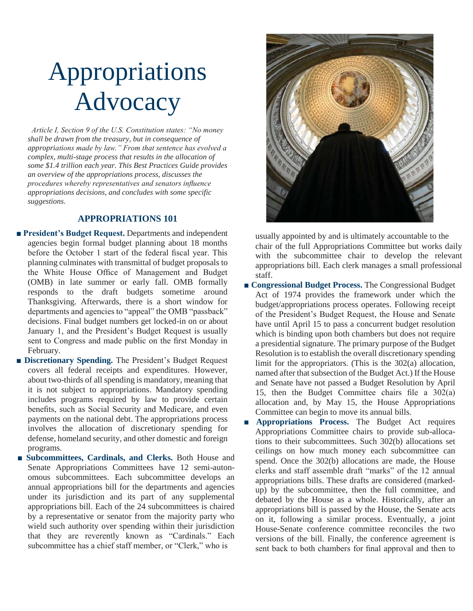# Appropriations Advocacy

 *Article I, Section 9 of the U.S. Constitution states: "No money shall be drawn from the treasury, but in consequence of appropriations made by law." From that sentence has evolved a complex, multi-stage process that results in the allocation of some \$1.4 trillion each year. This Best Practices Guide provides an overview of the appropriations process, discusses the procedures whereby representatives and senators influence appropriations decisions, and concludes with some specific suggestions.*

## **APPROPRIATIONS 101**

- **President's Budget Request.** Departments and independent agencies begin formal budget planning about 18 months before the October 1 start of the federal fiscal year. This planning culminates with transmittal of budget proposals to the White House Office of Management and Budget (OMB) in late summer or early fall. OMB formally responds to the draft budgets sometime around Thanksgiving. Afterwards, there is a short window for departments and agencies to "appeal" the OMB "passback" decisions. Final budget numbers get locked-in on or about January 1, and the President's Budget Request is usually sent to Congress and made public on the first Monday in February.
- **Discretionary Spending.** The President's Budget Request covers all federal receipts and expenditures. However, about two-thirds of all spending is mandatory, meaning that it is not subject to appropriations. Mandatory spending includes programs required by law to provide certain benefits, such as Social Security and Medicare, and even payments on the national debt. The appropriations process involves the allocation of discretionary spending for defense, homeland security, and other domestic and foreign programs.
- **Subcommittees, Cardinals, and Clerks.** Both House and Senate Appropriations Committees have 12 semi-autonomous subcommittees. Each subcommittee develops an annual appropriations bill for the departments and agencies under its jurisdiction and its part of any supplemental appropriations bill. Each of the 24 subcommittees is chaired by a representative or senator from the majority party who wield such authority over spending within their jurisdiction that they are reverently known as "Cardinals." Each subcommittee has a chief staff member, or "Clerk," who is



usually appointed by and is ultimately accountable to the chair of the full Appropriations Committee but works daily with the subcommittee chair to develop the relevant appropriations bill. Each clerk manages a small professional staff.

- **Congressional Budget Process.** The Congressional Budget Act of 1974 provides the framework under which the budget/appropriations process operates. Following receipt of the President's Budget Request, the House and Senate have until April 15 to pass a concurrent budget resolution which is binding upon both chambers but does not require a presidential signature. The primary purpose of the Budget Resolution is to establish the overall discretionary spending limit for the appropriators. (This is the 302(a) allocation, named after that subsection of the Budget Act.) If the House and Senate have not passed a Budget Resolution by April 15, then the Budget Committee chairs file a 302(a) allocation and, by May 15, the House Appropriations Committee can begin to move its annual bills.
- Appropriations Process. The Budget Act requires Appropriations Committee chairs to provide sub-allocations to their subcommittees. Such 302(b) allocations set ceilings on how much money each subcommittee can spend. Once the 302(b) allocations are made, the House clerks and staff assemble draft "marks" of the 12 annual appropriations bills. These drafts are considered (markedup) by the subcommittee, then the full committee, and debated by the House as a whole. Historically, after an appropriations bill is passed by the House, the Senate acts on it, following a similar process. Eventually, a joint House-Senate conference committee reconciles the two versions of the bill. Finally, the conference agreement is sent back to both chambers for final approval and then to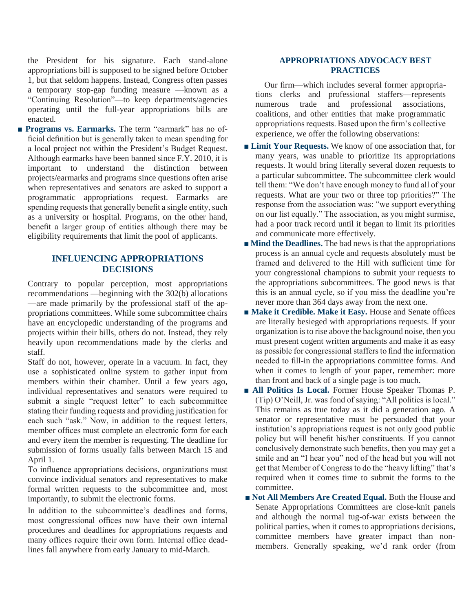the President for his signature. Each stand-alone appropriations bill is supposed to be signed before October 1, but that seldom happens. Instead, Congress often passes a temporary stop-gap funding measure —known as a "Continuing Resolution"—to keep departments/agencies operating until the full-year appropriations bills are enacted.

■ **Programs vs. Earmarks.** The term "earmark" has no official definition but is generally taken to mean spending for a local project not within the President's Budget Request. Although earmarks have been banned since F.Y. 2010, it is important to understand the distinction between projects/earmarks and programs since questions often arise when representatives and senators are asked to support a programmatic appropriations request. Earmarks are spending requests that generally benefit a single entity, such as a university or hospital. Programs, on the other hand, benefit a larger group of entities although there may be eligibility requirements that limit the pool of applicants.

# **INFLUENCING APPROPRIATIONS DECISIONS**

Contrary to popular perception, most appropriations recommendations —beginning with the 302(b) allocations —are made primarily by the professional staff of the appropriations committees. While some subcommittee chairs have an encyclopedic understanding of the programs and projects within their bills, others do not. Instead, they rely heavily upon recommendations made by the clerks and staff.

Staff do not, however, operate in a vacuum. In fact, they use a sophisticated online system to gather input from members within their chamber. Until a few years ago, individual representatives and senators were required to submit a single "request letter" to each subcommittee stating their funding requests and providing justification for each such "ask." Now, in addition to the request letters, member offices must complete an electronic form for each and every item the member is requesting. The deadline for submission of forms usually falls between March 15 and April 1.

To influence appropriations decisions, organizations must convince individual senators and representatives to make formal written requests to the subcommittee and, most importantly, to submit the electronic forms.

In addition to the subcommittee's deadlines and forms, most congressional offices now have their own internal procedures and deadlines for appropriations requests and many offices require their own form. Internal office deadlines fall anywhere from early January to mid-March.

## **APPROPRIATIONS ADVOCACY BEST PRACTICES**

Our firm—which includes several former appropriations clerks and professional staffers—represents numerous trade and professional associations, coalitions, and other entities that make programmatic appropriations requests. Based upon the firm's collective experience, we offer the following observations:

- **Limit Your Requests.** We know of one association that, for many years, was unable to prioritize its appropriations requests. It would bring literally several dozen requests to a particular subcommittee. The subcommittee clerk would tell them: "We don't have enough money to fund all of your requests. What are your two or three top priorities?" The response from the association was: "we support everything on our list equally." The association, as you might surmise, had a poor track record until it began to limit its priorities and communicate more effectively.
- **Mind the Deadlines.** The bad news is that the appropriations process is an annual cycle and requests absolutely must be framed and delivered to the Hill with sufficient time for your congressional champions to submit your requests to the appropriations subcommittees. The good news is that this is an annual cycle, so if you miss the deadline you're never more than 364 days away from the next one.
- Make it Credible. Make it Easy. House and Senate offices are literally besieged with appropriations requests. If your organization is to rise above the background noise, then you must present cogent written arguments and make it as easy as possible for congressional staffers to find the information needed to fill-in the appropriations committee forms. And when it comes to length of your paper, remember: more than front and back of a single page is too much.
- **All Politics Is Local.** Former House Speaker Thomas P. (Tip) O'Neill, Jr. was fond of saying: "All politics is local." This remains as true today as it did a generation ago. A senator or representative must be persuaded that your institution's appropriations request is not only good public policy but will benefit his/her constituents. If you cannot conclusively demonstrate such benefits, then you may get a smile and an "I hear you" nod of the head but you will not get that Member of Congress to do the "heavy lifting" that's required when it comes time to submit the forms to the committee.
- **Not All Members Are Created Equal.** Both the House and Senate Appropriations Committees are close-knit panels and although the normal tug-of-war exists between the political parties, when it comes to appropriations decisions, committee members have greater impact than nonmembers. Generally speaking, we'd rank order (from